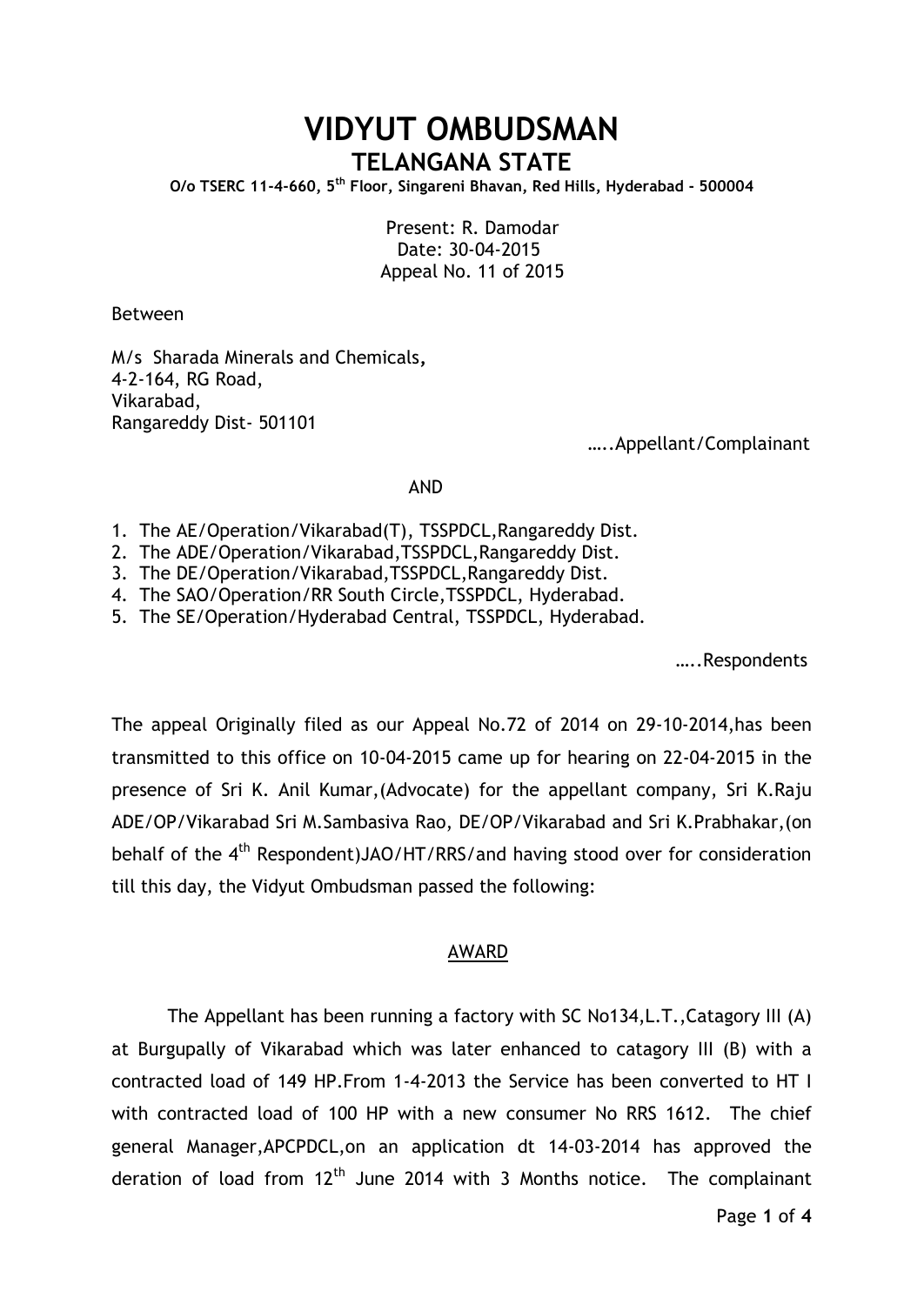## **VIDYUT OMBUDSMAN TELANGANA STATE**

**O/o TSERC 11-4-660, 5th Floor, Singareni Bhavan, Red Hills, Hyderabad - 500004**

 Present: R. Damodar Date: 30-04-2015 Appeal No. 11 of 2015

Between

M/s Sharada Minerals and Chemicals**,** 4-2-164, RG Road, Vikarabad, Rangareddy Dist- 501101

…..Appellant/Complainant

## AND

- 1. The AE/Operation/Vikarabad(T), TSSPDCL,Rangareddy Dist.
- 2. The ADE/Operation/Vikarabad,TSSPDCL,Rangareddy Dist.
- 3. The DE/Operation/Vikarabad,TSSPDCL,Rangareddy Dist.
- 4. The SAO/Operation/RR South Circle,TSSPDCL, Hyderabad.
- 5. The SE/Operation/Hyderabad Central, TSSPDCL, Hyderabad.

…..Respondents

The appeal Originally filed as our Appeal No.72 of 2014 on 29-10-2014,has been transmitted to this office on 10-04-2015 came up for hearing on 22-04-2015 in the presence of Sri K. Anil Kumar,(Advocate) for the appellant company, Sri K.Raju ADE/OP/Vikarabad Sri M.Sambasiva Rao, DE/OP/Vikarabad and Sri K.Prabhakar,(on behalf of the 4<sup>th</sup> Respondent)JAO/HT/RRS/and having stood over for consideration till this day, the Vidyut Ombudsman passed the following:

## AWARD

The Appellant has been running a factory with SC No134,L.T.,Catagory III (A) at Burgupally of Vikarabad which was later enhanced to catagory III (B) with a contracted load of 149 HP.From 1-4-2013 the Service has been converted to HT I with contracted load of 100 HP with a new consumer No RRS 1612. The chief general Manager,APCPDCL,on an application dt 14-03-2014 has approved the deration of load from  $12<sup>th</sup>$  June 2014 with 3 Months notice. The complainant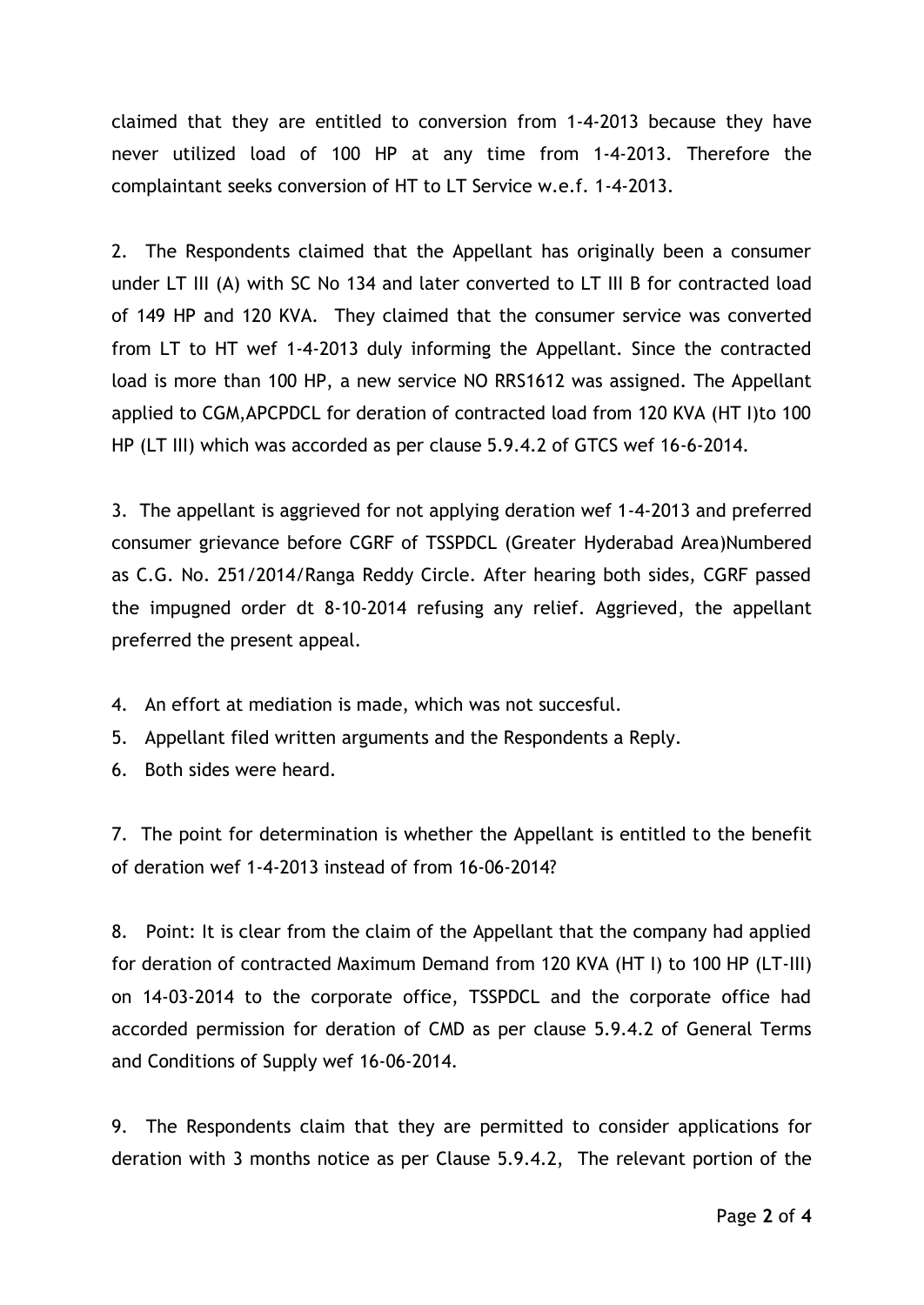claimed that they are entitled to conversion from 1-4-2013 because they have never utilized load of 100 HP at any time from 1-4-2013. Therefore the complaintant seeks conversion of HT to LT Service w.e.f. 1-4-2013.

2. The Respondents claimed that the Appellant has originally been a consumer under LT III (A) with SC No 134 and later converted to LT III B for contracted load of 149 HP and 120 KVA. They claimed that the consumer service was converted from LT to HT wef 1-4-2013 duly informing the Appellant. Since the contracted load is more than 100 HP, a new service NO RRS1612 was assigned. The Appellant applied to CGM,APCPDCL for deration of contracted load from 120 KVA (HT I)to 100 HP (LT III) which was accorded as per clause 5.9.4.2 of GTCS wef 16-6-2014.

3. The appellant is aggrieved for not applying deration wef 1-4-2013 and preferred consumer grievance before CGRF of TSSPDCL (Greater Hyderabad Area)Numbered as C.G. No. 251/2014/Ranga Reddy Circle. After hearing both sides, CGRF passed the impugned order dt 8-10-2014 refusing any relief. Aggrieved, the appellant preferred the present appeal.

- 4. An effort at mediation is made, which was not succesful.
- 5. Appellant filed written arguments and the Respondents a Reply.
- 6. Both sides were heard.

7. The point for determination is whether the Appellant is entitled to the benefit of deration wef 1-4-2013 instead of from 16-06-2014?

8. Point: It is clear from the claim of the Appellant that the company had applied for deration of contracted Maximum Demand from 120 KVA (HT I) to 100 HP (LT-III) on 14-03-2014 to the corporate office, TSSPDCL and the corporate office had accorded permission for deration of CMD as per clause 5.9.4.2 of General Terms and Conditions of Supply wef 16-06-2014.

9. The Respondents claim that they are permitted to consider applications for deration with 3 months notice as per Clause 5.9.4.2, The relevant portion of the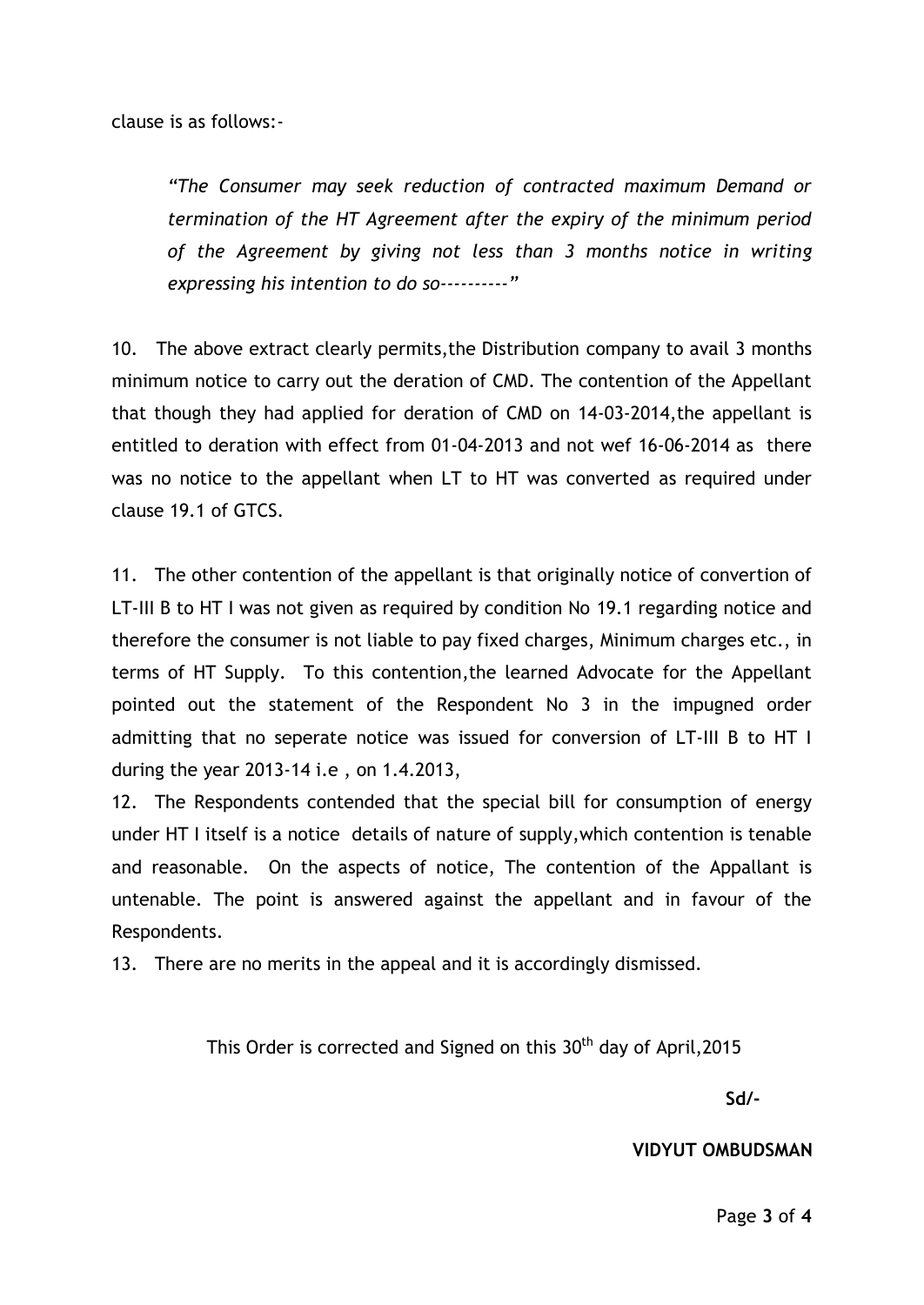clause is as follows:-

*"The Consumer may seek reduction of contracted maximum Demand or termination of the HT Agreement after the expiry of the minimum period of the Agreement by giving not less than 3 months notice in writing expressing his intention to do so----------"*

10. The above extract clearly permits,the Distribution company to avail 3 months minimum notice to carry out the deration of CMD. The contention of the Appellant that though they had applied for deration of CMD on 14-03-2014,the appellant is entitled to deration with effect from 01-04-2013 and not wef 16-06-2014 as there was no notice to the appellant when LT to HT was converted as required under clause 19.1 of GTCS.

11. The other contention of the appellant is that originally notice of convertion of LT-III B to HT I was not given as required by condition No 19.1 regarding notice and therefore the consumer is not liable to pay fixed charges, Minimum charges etc., in terms of HT Supply. To this contention,the learned Advocate for the Appellant pointed out the statement of the Respondent No 3 in the impugned order admitting that no seperate notice was issued for conversion of LT-III B to HT I during the year 2013-14 i.e , on 1.4.2013,

12. The Respondents contended that the special bill for consumption of energy under HT I itself is a notice details of nature of supply,which contention is tenable and reasonable. On the aspects of notice, The contention of the Appallant is untenable. The point is answered against the appellant and in favour of the Respondents.

13. There are no merits in the appeal and it is accordingly dismissed.

This Order is corrected and Signed on this  $30<sup>th</sup>$  day of April, 2015

**Sd/-**

 **VIDYUT OMBUDSMAN**

Page **3** of **4**